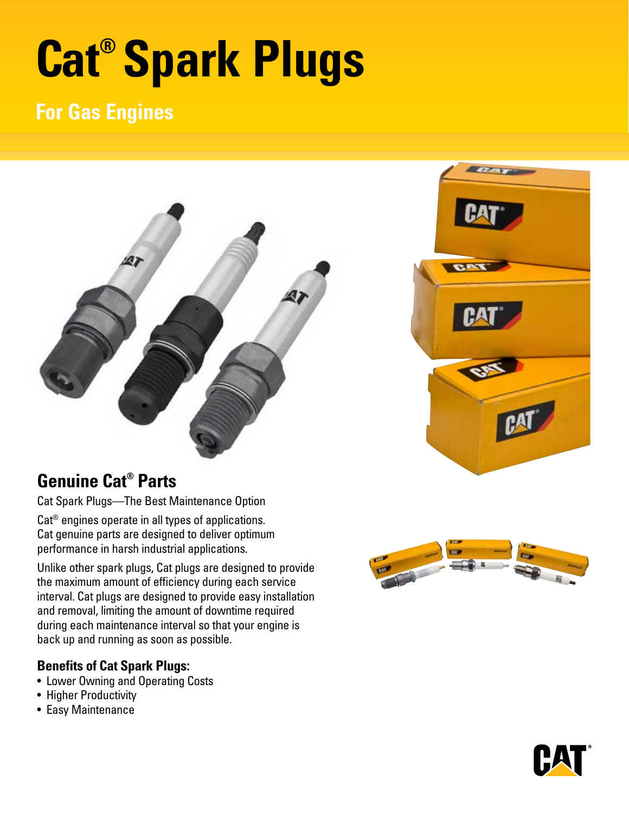# **Cat® Spark Plugs**

# **For Gas Engines**





Cat Spark Plugs—The Best Maintenance Option

Cat® engines operate in all types of applications. Cat genuine parts are designed to deliver optimum performance in harsh industrial applications.

Unlike other spark plugs, Cat plugs are designed to provide the maximum amount of efficiency during each service interval. Cat plugs are designed to provide easy installation and removal, limiting the amount of downtime required during each maintenance interval so that your engine is back up and running as soon as possible.

## **Benefits of Cat Spark Plugs:**

- Lower Owning and Operating Costs
- Higher Productivity
- Easy Maintenance